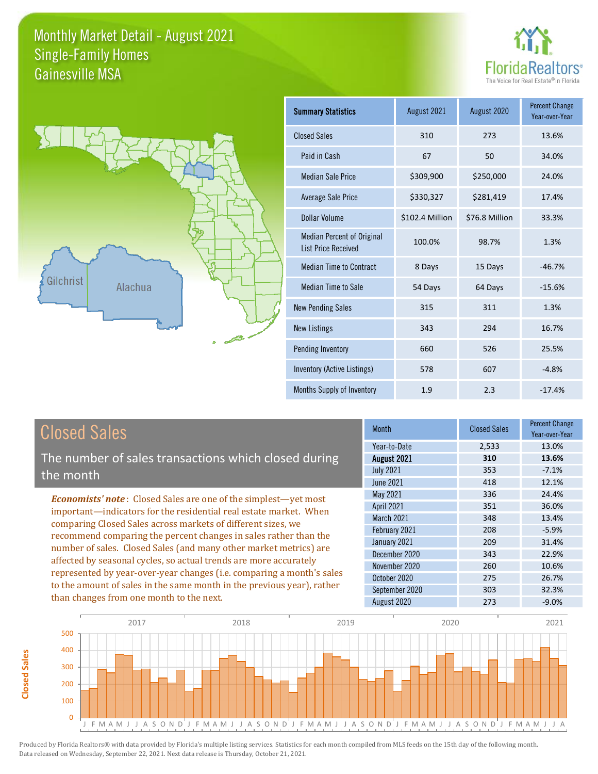



**Closed Sales**

**Closed Sales** 

| <b>Summary Statistics</b>                                       | August 2021     | August 2020    | <b>Percent Change</b><br>Year-over-Year |
|-----------------------------------------------------------------|-----------------|----------------|-----------------------------------------|
| <b>Closed Sales</b>                                             | 310             | 273            | 13.6%                                   |
| Paid in Cash                                                    | 67              | 50             | 34.0%                                   |
| <b>Median Sale Price</b>                                        | \$309,900       | \$250,000      | 24.0%                                   |
| <b>Average Sale Price</b>                                       | \$330,327       | \$281,419      | 17.4%                                   |
| Dollar Volume                                                   | \$102.4 Million | \$76.8 Million | 33.3%                                   |
| <b>Median Percent of Original</b><br><b>List Price Received</b> | 100.0%          | 98.7%          | 1.3%                                    |
| <b>Median Time to Contract</b>                                  | 8 Days          | 15 Days        | $-46.7%$                                |
| <b>Median Time to Sale</b>                                      | 54 Days         | 64 Days        | $-15.6%$                                |
| <b>New Pending Sales</b>                                        | 315             | 311            | 1.3%                                    |
| <b>New Listings</b>                                             | 343             | 294            | 16.7%                                   |
| Pending Inventory                                               | 660             | 526            | 25.5%                                   |
| Inventory (Active Listings)                                     | 578             | 607            | $-4.8%$                                 |
| Months Supply of Inventory                                      | 1.9             | 2.3            | $-17.4%$                                |

| <b>Closed Sales</b>                                                                                                                                                                                                                                                                                                                                                                                                                                                                                                                                                                                                      | <b>Month</b>                                                                                                                                                           | <b>Closed Sales</b>                                                | <b>Percent Change</b><br>Year-over-Year                                                    |
|--------------------------------------------------------------------------------------------------------------------------------------------------------------------------------------------------------------------------------------------------------------------------------------------------------------------------------------------------------------------------------------------------------------------------------------------------------------------------------------------------------------------------------------------------------------------------------------------------------------------------|------------------------------------------------------------------------------------------------------------------------------------------------------------------------|--------------------------------------------------------------------|--------------------------------------------------------------------------------------------|
| The number of sales transactions which closed during<br>the month                                                                                                                                                                                                                                                                                                                                                                                                                                                                                                                                                        | Year-to-Date<br>August 2021<br><b>July 2021</b><br><b>June 2021</b>                                                                                                    | 2,533<br>310<br>353<br>418                                         | 13.0%<br>13.6%<br>$-7.1%$<br>12.1%                                                         |
| <b>Economists' note:</b> Closed Sales are one of the simplest—yet most<br>important—indicators for the residential real estate market. When<br>comparing Closed Sales across markets of different sizes, we<br>recommend comparing the percent changes in sales rather than the<br>number of sales. Closed Sales (and many other market metrics) are<br>affected by seasonal cycles, so actual trends are more accurately<br>represented by year-over-year changes (i.e. comparing a month's sales<br>to the amount of sales in the same month in the previous year), rather<br>than changes from one month to the next. | May 2021<br><b>April 2021</b><br><b>March 2021</b><br>February 2021<br>January 2021<br>December 2020<br>November 2020<br>October 2020<br>September 2020<br>August 2020 | 336<br>351<br>348<br>208<br>209<br>343<br>260<br>275<br>303<br>273 | 24.4%<br>36.0%<br>13.4%<br>$-5.9%$<br>31.4%<br>22.9%<br>10.6%<br>26.7%<br>32.3%<br>$-9.0%$ |

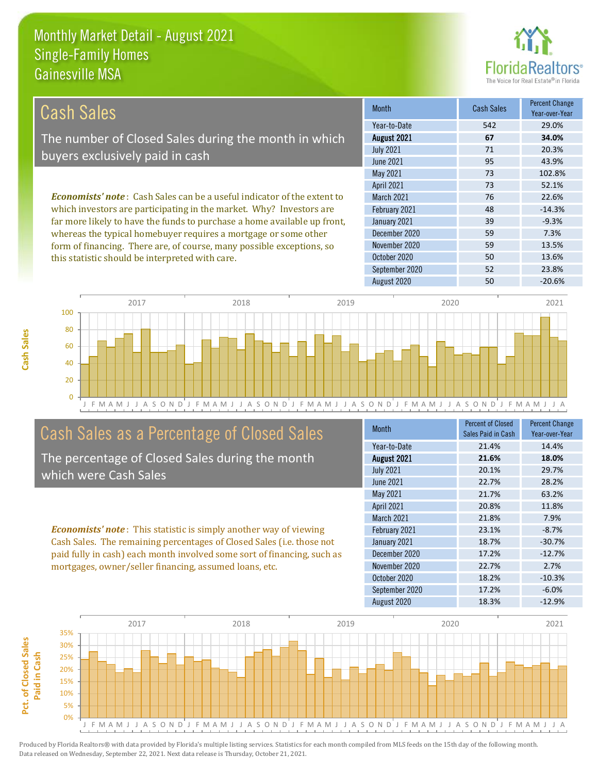

| Cash Sales                                                                     | <b>Month</b>      | Cash Sales | <b>Percent Change</b><br>Year-over-Year |
|--------------------------------------------------------------------------------|-------------------|------------|-----------------------------------------|
|                                                                                | Year-to-Date      | 542        | 29.0%                                   |
| The number of Closed Sales during the month in which                           | August 2021       | 67         | 34.0%                                   |
| buyers exclusively paid in cash                                                | <b>July 2021</b>  | 71         | 20.3%                                   |
|                                                                                | June 2021         | 95         | 43.9%                                   |
|                                                                                | May 2021          | 73         | 102.8%                                  |
|                                                                                | <b>April 2021</b> | 73         | 52.1%                                   |
| <b>Economists' note:</b> Cash Sales can be a useful indicator of the extent to | <b>March 2021</b> | 76         | 22.6%                                   |
| which investors are participating in the market. Why? Investors are            | February 2021     | 48         | $-14.3%$                                |
| far more likely to have the funds to purchase a home available up front,       | January 2021      | 39         | $-9.3%$                                 |
| whereas the typical homebuyer requires a mortgage or some other                | December 2020     | 59         | 7.3%                                    |
| form of financing. There are, of course, many possible exceptions, so          | November 2020     | 59         | 13.5%                                   |
| this statistic should be interpreted with care.                                | October 2020      | 50         | 13.6%                                   |



# Cash Sales as a Percentage of Closed Sales

The percentage of Closed Sales during the month which were Cash Sales

*Economists' note* : This statistic is simply another way of viewing Cash Sales. The remaining percentages of Closed Sales (i.e. those not paid fully in cash) each month involved some sort of financing, such as mortgages, owner/seller financing, assumed loans, etc.

| Month             | Percent of Closed  | <b>Percent Change</b> |
|-------------------|--------------------|-----------------------|
|                   | Sales Paid in Cash | Year-over-Year        |
| Year-to-Date      | 21.4%              | 14.4%                 |
| August 2021       | 21.6%              | 18.0%                 |
| <b>July 2021</b>  | 20.1%              | 29.7%                 |
| <b>June 2021</b>  | 22.7%              | 28.2%                 |
| May 2021          | 21.7%              | 63.2%                 |
| April 2021        | 20.8%              | 11.8%                 |
| <b>March 2021</b> | 21.8%              | 7.9%                  |
| February 2021     | 23.1%              | $-8.7%$               |
| January 2021      | 18.7%              | $-30.7%$              |
| December 2020     | 17.2%              | $-12.7%$              |
| November 2020     | 22.7%              | 2.7%                  |
| October 2020      | 18.2%              | $-10.3%$              |
| September 2020    | 17.2%              | $-6.0%$               |
| August 2020       | 18.3%              | $-12.9%$              |

September 2020 52 52 23.8%

August 2020 50 50 -20.6%

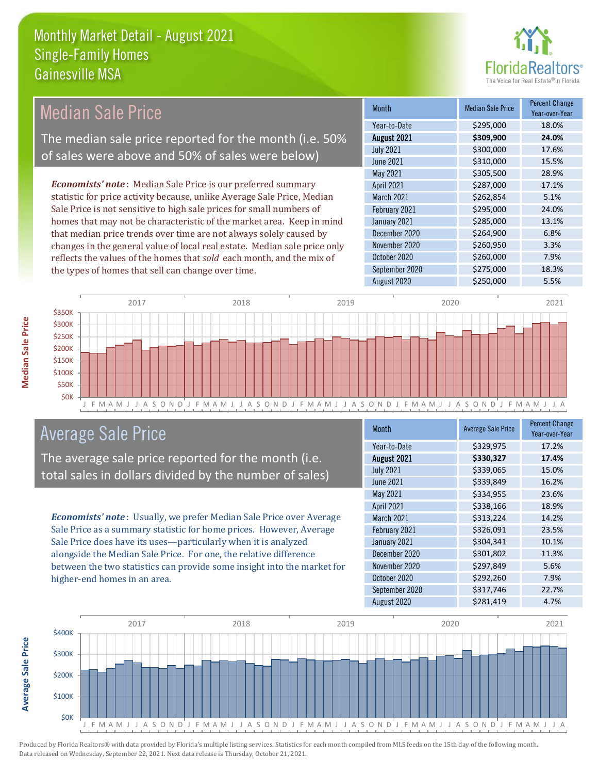

| <b>Median Sale Price</b>                                                                                                                                                                                                 |      | <b>Month</b>  | <b>Median Sale Price</b> | <b>Percent Change</b><br>Year-over-Year |       |
|--------------------------------------------------------------------------------------------------------------------------------------------------------------------------------------------------------------------------|------|---------------|--------------------------|-----------------------------------------|-------|
|                                                                                                                                                                                                                          |      |               | Year-to-Date             | \$295,000                               | 18.0% |
| The median sale price reported for the month (i.e. 50%                                                                                                                                                                   |      | August 2021   | \$309,900                | 24.0%                                   |       |
|                                                                                                                                                                                                                          |      |               | <b>July 2021</b>         | \$300,000                               | 17.6% |
| of sales were above and 50% of sales were below)                                                                                                                                                                         |      |               | June 2021                | \$310,000                               | 15.5% |
|                                                                                                                                                                                                                          |      |               | May 2021                 | \$305,500                               | 28.9% |
| <b>Economists' note:</b> Median Sale Price is our preferred summary                                                                                                                                                      |      |               | <b>April 2021</b>        | \$287,000                               | 17.1% |
| statistic for price activity because, unlike Average Sale Price, Median                                                                                                                                                  |      |               | March 2021               | \$262,854                               | 5.1%  |
| Sale Price is not sensitive to high sale prices for small numbers of                                                                                                                                                     |      | February 2021 | \$295,000                | 24.0%                                   |       |
| homes that may not be characteristic of the market area. Keep in mind                                                                                                                                                    |      | January 2021  | \$285,000                | 13.1%                                   |       |
| that median price trends over time are not always solely caused by<br>changes in the general value of local real estate. Median sale price only<br>reflects the values of the homes that sold each month, and the mix of |      | December 2020 | \$264,900                | 6.8%                                    |       |
|                                                                                                                                                                                                                          |      |               | November 2020            | \$260,950                               | 3.3%  |
|                                                                                                                                                                                                                          |      |               | October 2020             | \$260,000                               | 7.9%  |
| the types of homes that sell can change over time.                                                                                                                                                                       |      |               | September 2020           | \$275,000                               | 18.3% |
|                                                                                                                                                                                                                          |      |               | August 2020              | \$250,000                               | 5.5%  |
|                                                                                                                                                                                                                          |      |               |                          |                                         |       |
| 2017                                                                                                                                                                                                                     | 2018 | 2019          |                          | 2020                                    | 2021  |



# Average Sale Price

The average sale price reported for the month (i.e. total sales in dollars divided by the number of sales)

*Economists' note* : Usually, we prefer Median Sale Price over Average Sale Price as a summary statistic for home prices. However, Average Sale Price does have its uses—particularly when it is analyzed alongside the Median Sale Price. For one, the relative difference between the two statistics can provide some insight into the market for higher-end homes in an area.

| <b>Month</b>      | <b>Average Sale Price</b> | <b>Percent Change</b><br>Year-over-Year |
|-------------------|---------------------------|-----------------------------------------|
| Year-to-Date      | \$329,975                 | 17.2%                                   |
| August 2021       | \$330,327                 | 17.4%                                   |
| <b>July 2021</b>  | \$339,065                 | 15.0%                                   |
| June 2021         | \$339,849                 | 16.2%                                   |
| May 2021          | \$334,955                 | 23.6%                                   |
| April 2021        | \$338,166                 | 18.9%                                   |
| <b>March 2021</b> | \$313,224                 | 14.2%                                   |
| February 2021     | \$326,091                 | 23.5%                                   |
| January 2021      | \$304,341                 | 10.1%                                   |
| December 2020     | \$301,802                 | 11.3%                                   |
| November 2020     | \$297,849                 | 5.6%                                    |
| October 2020      | \$292,260                 | 7.9%                                    |
| September 2020    | \$317,746                 | 22.7%                                   |
| August 2020       | \$281,419                 | 4.7%                                    |



Produced by Florida Realtors® with data provided by Florida's multiple listing services. Statistics for each month compiled from MLS feeds on the 15th day of the following month. Data released on Wednesday, September 22, 2021. Next data release is Thursday, October 21, 2021.

**Average Sale Price**

**Average Sale Price**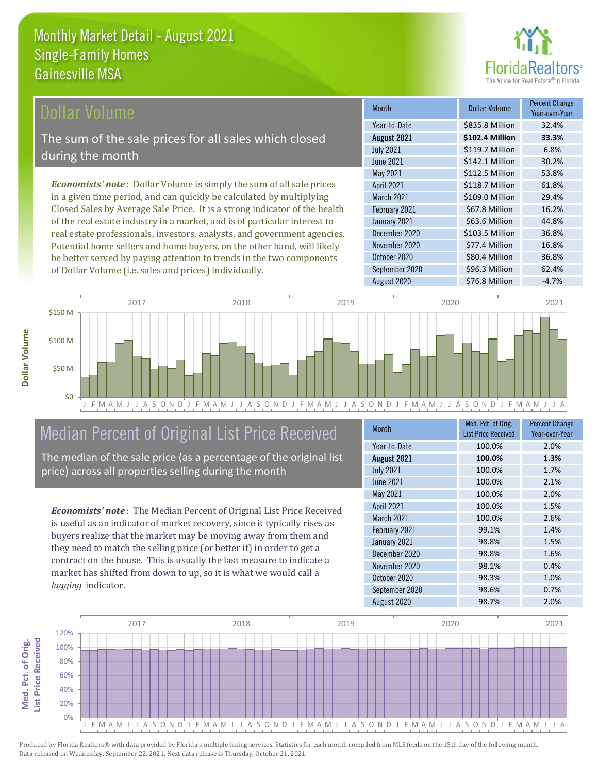### Dollar Volume

The sum of the sale prices for all sales which closed during the month

*Economists' note* : Dollar Volume is simply the sum of all sale prices in a given time period, and can quickly be calculated by multiplying Closed Sales by Average Sale Price. It is a strong indicator of the health of the real estate industry in a market, and is of particular interest to real estate professionals, investors, analysts, and government agencies. Potential home sellers and home buyers, on the other hand, will likely be better served by paying attention to trends in the two components of Dollar Volume (i.e. sales and prices) individually.

| <b>Month</b>     | Dollar Volume   | <b>Percent Change</b><br>Year-over-Year |
|------------------|-----------------|-----------------------------------------|
| Year-to-Date     | \$835.8 Million | 32.4%                                   |
| August 2021      | \$102.4 Million | 33.3%                                   |
| <b>July 2021</b> | \$119.7 Million | 6.8%                                    |
| <b>June 2021</b> | \$142.1 Million | 30.2%                                   |
| May 2021         | \$112.5 Million | 53.8%                                   |
| April 2021       | \$118.7 Million | 61.8%                                   |
| March 2021       | \$109.0 Million | 29.4%                                   |
| February 2021    | \$67.8 Million  | 16.2%                                   |
| January 2021     | \$63.6 Million  | 44.8%                                   |
| December 2020    | \$103.5 Million | 36.8%                                   |
| November 2020    | \$77.4 Million  | 16.8%                                   |
| October 2020     | \$80.4 Million  | 36.8%                                   |
| September 2020   | \$96.3 Million  | 62.4%                                   |
| August 2020      | \$76.8 Million  | $-4.7%$                                 |



# Median Percent of Original List Price Received

The median of the sale price (as a percentage of the original list price) across all properties selling during the month

*Economists' note* : The Median Percent of Original List Price Received is useful as an indicator of market recovery, since it typically rises as buyers realize that the market may be moving away from them and they need to match the selling price (or better it) in order to get a contract on the house. This is usually the last measure to indicate a market has shifted from down to up, so it is what we would call a *lagging* indicator.

| <b>Month</b>               | Med. Pct. of Orig. | <b>Percent Change</b> |  |
|----------------------------|--------------------|-----------------------|--|
| <b>List Price Received</b> |                    | Year-over-Year        |  |
| Year-to-Date               | 100.0%             | 2.0%                  |  |
| August 2021                | 100.0%             | 1.3%                  |  |
| <b>July 2021</b>           | 100.0%             | 1.7%                  |  |
| <b>June 2021</b>           | 100.0%             | 2.1%                  |  |
| May 2021                   | 100.0%             | 2.0%                  |  |
| April 2021                 | 100.0%             | 1.5%                  |  |
| <b>March 2021</b>          | 100.0%             | 2.6%                  |  |
| February 2021              | 99.1%              | 1.4%                  |  |
| January 2021               | 98.8%              | 1.5%                  |  |
| December 2020              | 98.8%              | 1.6%                  |  |
| November 2020              | 98.1%              | 0.4%                  |  |
| October 2020               | 98.3%              | 1.0%                  |  |
| September 2020             | 98.6%              | 0.7%                  |  |
| August 2020                | 98.7%              | 2.0%                  |  |

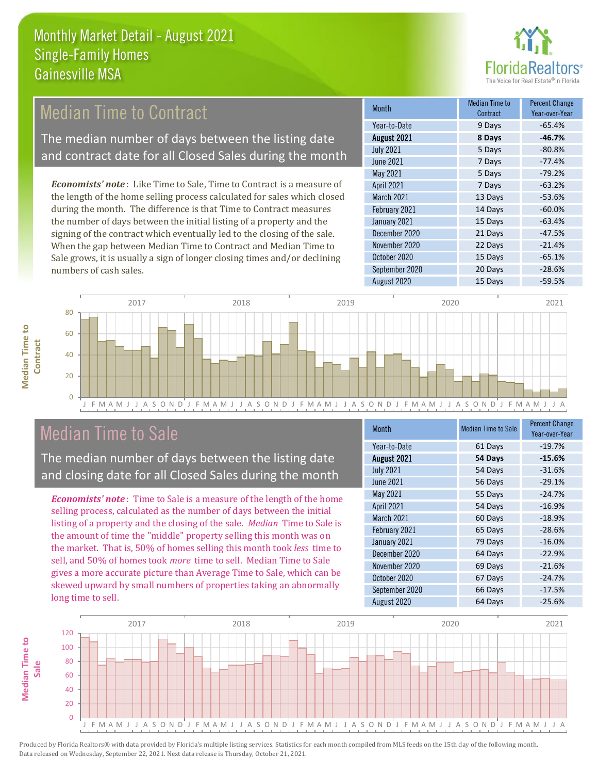

# Median Time to Contract

The median number of days between the listing date and contract date for all Closed Sales during the month

*Economists' note* : Like Time to Sale, Time to Contract is a measure of the length of the home selling process calculated for sales which closed during the month. The difference is that Time to Contract measures the number of days between the initial listing of a property and the signing of the contract which eventually led to the closing of the sale. When the gap between Median Time to Contract and Median Time to Sale grows, it is usually a sign of longer closing times and/or declining numbers of cash sales.

| <b>Month</b>     | Median Time to<br>Contract | <b>Percent Change</b><br>Year-over-Year |
|------------------|----------------------------|-----------------------------------------|
| Year-to-Date     | 9 Days                     | $-65.4%$                                |
| August 2021      | 8 Days                     | $-46.7%$                                |
| <b>July 2021</b> | 5 Days                     | $-80.8%$                                |
| <b>June 2021</b> | 7 Days                     | $-77.4%$                                |
| May 2021         | 5 Days                     | $-79.2%$                                |
| April 2021       | 7 Days                     | $-63.2%$                                |
| March 2021       | 13 Days                    | $-53.6%$                                |
| February 2021    | 14 Days                    | $-60.0%$                                |
| January 2021     | 15 Days                    | $-63.4%$                                |
| December 2020    | 21 Days                    | $-47.5%$                                |
| November 2020    | 22 Days                    | $-21.4%$                                |
| October 2020     | 15 Days                    | $-65.1%$                                |
| September 2020   | 20 Days                    | $-28.6%$                                |
| August 2020      | 15 Days                    | $-59.5%$                                |



## Median Time to Sale

**Median Time to** 

**Median Time to** 

The median number of days between the listing date and closing date for all Closed Sales during the month

*Economists' note* : Time to Sale is a measure of the length of the home selling process, calculated as the number of days between the initial listing of a property and the closing of the sale. *Median* Time to Sale is the amount of time the "middle" property selling this month was on the market. That is, 50% of homes selling this month took *less* time to sell, and 50% of homes took *more* time to sell. Median Time to Sale gives a more accurate picture than Average Time to Sale, which can be skewed upward by small numbers of properties taking an abnormally long time to sell.

| <b>Month</b>     | <b>Median Time to Sale</b> | <b>Percent Change</b><br>Year-over-Year |
|------------------|----------------------------|-----------------------------------------|
| Year-to-Date     | 61 Days                    | $-19.7%$                                |
| August 2021      | 54 Days                    | $-15.6%$                                |
| <b>July 2021</b> | 54 Days                    | $-31.6%$                                |
| <b>June 2021</b> | 56 Days                    | $-29.1%$                                |
| May 2021         | 55 Days                    | $-24.7%$                                |
| April 2021       | 54 Days                    | $-16.9%$                                |
| March 2021       | 60 Days                    | $-18.9%$                                |
| February 2021    | 65 Days                    | $-28.6%$                                |
| January 2021     | 79 Days                    | $-16.0%$                                |
| December 2020    | 64 Days                    | $-22.9%$                                |
| November 2020    | 69 Days                    | $-21.6%$                                |
| October 2020     | 67 Days                    | $-24.7%$                                |
| September 2020   | 66 Days                    | $-17.5%$                                |
| August 2020      | 64 Days                    | $-25.6%$                                |

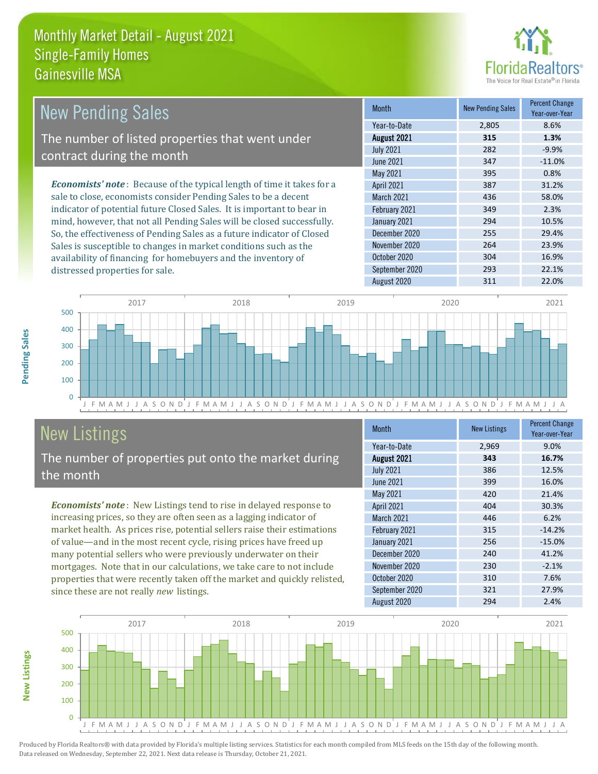

| <b>New Pending Sales</b>                                                      | <b>Month</b>      | <b>New Pending Sales</b> | <b>Percent Change</b><br>Year-over-Year |
|-------------------------------------------------------------------------------|-------------------|--------------------------|-----------------------------------------|
|                                                                               | Year-to-Date      | 2.805                    | 8.6%                                    |
| The number of listed properties that went under                               | August 2021       | 315                      | 1.3%                                    |
| contract during the month                                                     | <b>July 2021</b>  | 282                      | $-9.9%$                                 |
|                                                                               | June 2021         | 347                      | $-11.0%$                                |
|                                                                               | May 2021          | 395                      | 0.8%                                    |
| <b>Economists' note:</b> Because of the typical length of time it takes for a | <b>April 2021</b> | 387                      | 31.2%                                   |
| sale to close, economists consider Pending Sales to be a decent               | <b>March 2021</b> | 436                      | 58.0%                                   |
| indicator of potential future Closed Sales. It is important to bear in        | February 2021     | 349                      | 2.3%                                    |
| mind, however, that not all Pending Sales will be closed successfully.        | January 2021      | 294                      | 10.5%                                   |
| So, the effectiveness of Pending Sales as a future indicator of Closed        | December 2020     | 255                      | 29.4%                                   |
| Sales is susceptible to changes in market conditions such as the              | November 2020     | 264                      | 23.9%                                   |
| availability of financing for homebuyers and the inventory of                 | October 2020      | 304                      | 16.9%                                   |



# New Listings

distressed properties for sale.

The number of properties put onto the market during the month

availability of financing for homebuyers and the inventory of

*Economists' note* : New Listings tend to rise in delayed response to increasing prices, so they are often seen as a lagging indicator of market health. As prices rise, potential sellers raise their estimations of value—and in the most recent cycle, rising prices have freed up many potential sellers who were previously underwater on their mortgages. Note that in our calculations, we take care to not include properties that were recently taken off the market and quickly relisted, since these are not really *new* listings.

| Month             | <b>New Listings</b> | <b>Percent Change</b><br>Year-over-Year |
|-------------------|---------------------|-----------------------------------------|
| Year-to-Date      | 2,969               | 9.0%                                    |
| August 2021       | 343                 | 16.7%                                   |
| <b>July 2021</b>  | 386                 | 12.5%                                   |
| June 2021         | 399                 | 16.0%                                   |
| May 2021          | 420                 | 21.4%                                   |
| April 2021        | 404                 | 30.3%                                   |
| <b>March 2021</b> | 446                 | 6.2%                                    |
| February 2021     | 315                 | $-14.2%$                                |
| January 2021      | 256                 | $-15.0%$                                |
| December 2020     | 240                 | 41.2%                                   |
| November 2020     | 230                 | $-2.1%$                                 |
| October 2020      | 310                 | 7.6%                                    |
| September 2020    | 321                 | 27.9%                                   |
| August 2020       | 294                 | 2.4%                                    |

August 2020 311 311 22.0%

September 2020 293 22.1%



Produced by Florida Realtors® with data provided by Florida's multiple listing services. Statistics for each month compiled from MLS feeds on the 15th day of the following month. Data released on Wednesday, September 22, 2021. Next data release is Thursday, October 21, 2021.

**New Listings**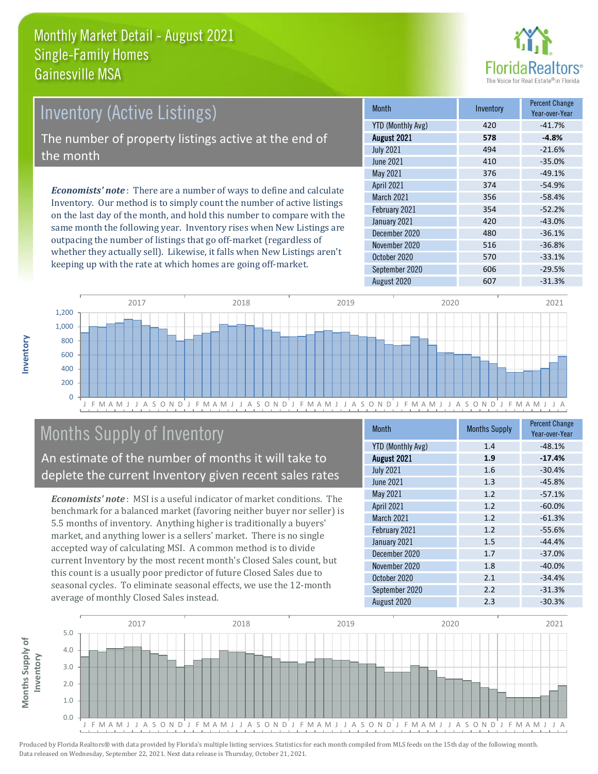

# Inventory (Active Listings) The number of property listings active at the end of the month

*Economists' note* : There are a number of ways to define and calculate Inventory. Our method is to simply count the number of active listings on the last day of the month, and hold this number to compare with the same month the following year. Inventory rises when New Listings are outpacing the number of listings that go off-market (regardless of whether they actually sell). Likewise, it falls when New Listings aren't keeping up with the rate at which homes are going off-market.

| <b>Month</b>             | Inventory | <b>Percent Change</b><br>Year-over-Year |
|--------------------------|-----------|-----------------------------------------|
| <b>YTD (Monthly Avg)</b> | 420       | $-41.7%$                                |
| August 2021              | 578       | $-4.8%$                                 |
| <b>July 2021</b>         | 494       | $-21.6%$                                |
| <b>June 2021</b>         | 410       | $-35.0%$                                |
| May 2021                 | 376       | $-49.1%$                                |
| April 2021               | 374       | $-54.9%$                                |
| <b>March 2021</b>        | 356       | $-58.4%$                                |
| February 2021            | 354       | $-52.2%$                                |
| January 2021             | 420       | $-43.0%$                                |
| December 2020            | 480       | $-36.1%$                                |
| November 2020            | 516       | $-36.8%$                                |
| October 2020             | 570       | $-33.1%$                                |
| September 2020           | 606       | $-29.5%$                                |
| August 2020              | 607       | $-31.3%$                                |



# Months Supply of Inventory

An estimate of the number of months it will take to deplete the current Inventory given recent sales rates

*Economists' note* : MSI is a useful indicator of market conditions. The benchmark for a balanced market (favoring neither buyer nor seller) is 5.5 months of inventory. Anything higher is traditionally a buyers' market, and anything lower is a sellers' market. There is no single accepted way of calculating MSI. A common method is to divide current Inventory by the most recent month's Closed Sales count, but this count is a usually poor predictor of future Closed Sales due to seasonal cycles. To eliminate seasonal effects, we use the 12-month average of monthly Closed Sales instead.

| Month                    | <b>Months Supply</b> | <b>Percent Change</b><br>Year-over-Year |
|--------------------------|----------------------|-----------------------------------------|
| <b>YTD (Monthly Avg)</b> | 1.4                  | $-48.1%$                                |
| August 2021              | 1.9                  | $-17.4%$                                |
| <b>July 2021</b>         | 1.6                  | $-30.4%$                                |
| <b>June 2021</b>         | 1.3                  | $-45.8%$                                |
| May 2021                 | 1.2                  | $-57.1%$                                |
| April 2021               | 1.2                  | $-60.0%$                                |
| <b>March 2021</b>        | 1.2                  | $-61.3%$                                |
| February 2021            | 1.2                  | $-55.6%$                                |
| January 2021             | 1.5                  | $-44.4%$                                |
| December 2020            | 1.7                  | $-37.0%$                                |
| November 2020            | 1.8                  | $-40.0%$                                |
| October 2020             | 2.1                  | $-34.4%$                                |
| September 2020           | 2.2                  | $-31.3%$                                |
| August 2020              | 2.3                  | $-30.3%$                                |

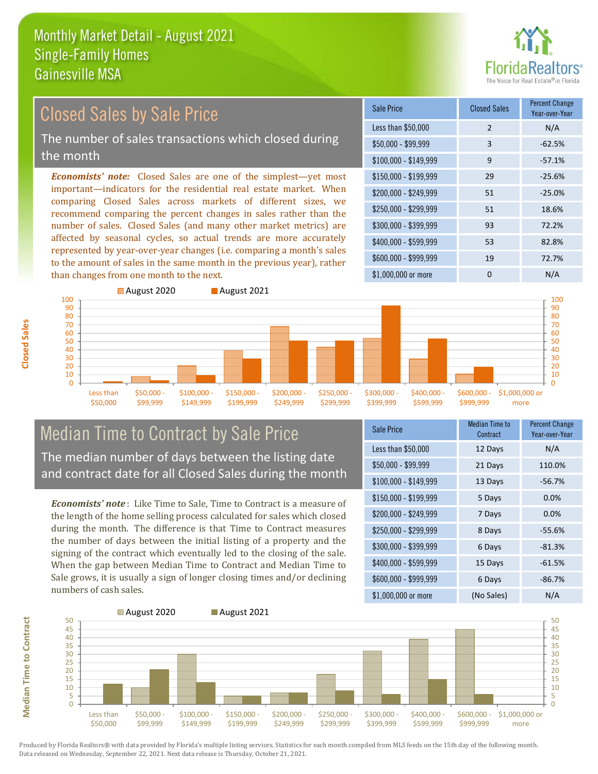

# Closed Sales by Sale Price

The number of sales transactions which closed during the month

*Economists' note:* Closed Sales are one of the simplest—yet most important—indicators for the residential real estate market. When comparing Closed Sales across markets of different sizes, we recommend comparing the percent changes in sales rather than the number of sales. Closed Sales (and many other market metrics) are affected by seasonal cycles, so actual trends are more accurately represented by year-over-year changes (i.e. comparing a month's sales to the amount of sales in the same month in the previous year), rather than changes from one month to the next.





#### Median Time to Contract by Sale Price The median number of days between the listing date and contract date for all Closed Sales during the month

*Economists' note* : Like Time to Sale, Time to Contract is a measure of the length of the home selling process calculated for sales which closed during the month. The difference is that Time to Contract measures the number of days between the initial listing of a property and the signing of the contract which eventually led to the closing of the sale. When the gap between Median Time to Contract and Median Time to Sale grows, it is usually a sign of longer closing times and/or declining numbers of cash sales.

| <b>Sale Price</b>     | Median Time to<br>Contract | <b>Percent Change</b><br>Year-over-Year |
|-----------------------|----------------------------|-----------------------------------------|
| Less than \$50,000    | 12 Days                    | N/A                                     |
| \$50,000 - \$99,999   | 21 Days                    | 110.0%                                  |
| $$100,000 - $149,999$ | 13 Days                    | $-56.7%$                                |
| $$150,000 - $199,999$ | 5 Days                     | 0.0%                                    |
| \$200,000 - \$249,999 | 7 Days                     | 0.0%                                    |
| \$250,000 - \$299,999 | 8 Days                     | $-55.6%$                                |
| \$300,000 - \$399,999 | 6 Days                     | $-81.3%$                                |
| \$400,000 - \$599,999 | 15 Days                    | $-61.5%$                                |
| \$600,000 - \$999,999 | 6 Days                     | $-86.7%$                                |
| \$1,000,000 or more   | (No Sales)                 | N/A                                     |



Produced by Florida Realtors® with data provided by Florida's multiple listing services. Statistics for each month compiled from MLS feeds on the 15th day of the following month. Data released on Wednesday, September 22, 2021. Next data release is Thursday, October 21, 2021.

**Median Time to Contract**

**Median Time to Contract**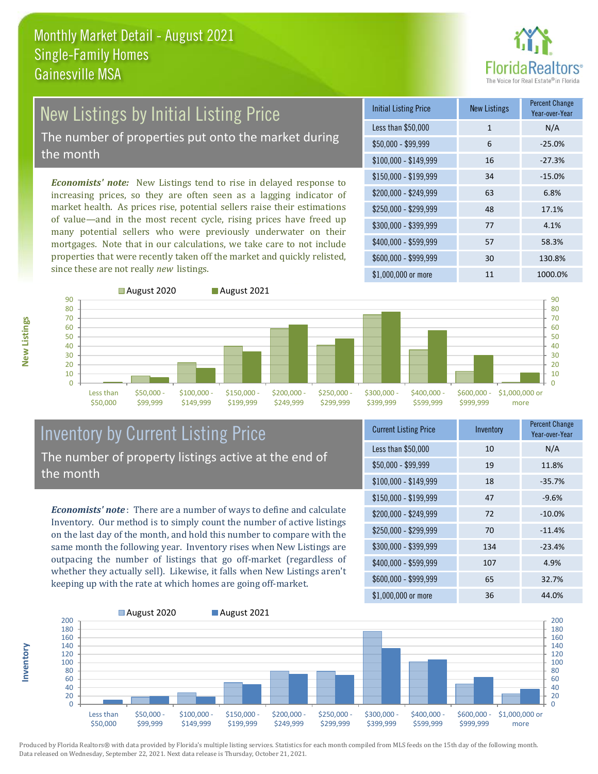

# New Listings by Initial Listing Price

The number of properties put onto the market during the month

*Economists' note:* New Listings tend to rise in delayed response to increasing prices, so they are often seen as a lagging indicator of market health. As prices rise, potential sellers raise their estimations of value—and in the most recent cycle, rising prices have freed up many potential sellers who were previously underwater on their mortgages. Note that in our calculations, we take care to not include properties that were recently taken off the market and quickly relisted, since these are not really *new* listings.

| <b>Initial Listing Price</b> | <b>New Listings</b> | <b>Percent Change</b><br>Year-over-Year |
|------------------------------|---------------------|-----------------------------------------|
| Less than \$50,000           | $\mathbf{1}$        | N/A                                     |
| $$50,000 - $99,999$          | 6                   | $-25.0%$                                |
| $$100,000 - $149,999$        | 16                  | $-27.3%$                                |
| $$150,000 - $199,999$        | 34                  | $-15.0%$                                |
| \$200,000 - \$249,999        | 63                  | 6.8%                                    |
| \$250,000 - \$299,999        | 48                  | 17.1%                                   |
| \$300,000 - \$399,999        | 77                  | 4.1%                                    |
| \$400,000 - \$599,999        | 57                  | 58.3%                                   |
| \$600,000 - \$999,999        | 30                  | 130.8%                                  |
| \$1,000,000 or more          | 11                  | 1000.0%                                 |



#### Inventory by Current Listing Price The number of property listings active at the end of the month

*Economists' note* : There are a number of ways to define and calculate Inventory. Our method is to simply count the number of active listings on the last day of the month, and hold this number to compare with the same month the following year. Inventory rises when New Listings are outpacing the number of listings that go off-market (regardless of whether they actually sell). Likewise, it falls when New Listings aren't keeping up with the rate at which homes are going off-market.

| <b>Current Listing Price</b> | Inventory | <b>Percent Change</b><br>Year-over-Year |
|------------------------------|-----------|-----------------------------------------|
| Less than \$50,000           | 10        | N/A                                     |
| $$50,000 - $99,999$          | 19        | 11.8%                                   |
| $$100,000 - $149,999$        | 18        | $-35.7%$                                |
| $$150,000 - $199,999$        | 47        | $-9.6%$                                 |
| \$200,000 - \$249,999        | 72        | $-10.0\%$                               |
| \$250,000 - \$299,999        | 70        | $-11.4%$                                |
| \$300,000 - \$399,999        | 134       | $-23.4%$                                |
| \$400,000 - \$599,999        | 107       | 4.9%                                    |
| \$600,000 - \$999,999        | 65        | 32.7%                                   |
| \$1,000,000 or more          | 36        | 44.0%                                   |



Produced by Florida Realtors® with data provided by Florida's multiple listing services. Statistics for each month compiled from MLS feeds on the 15th day of the following month. Data released on Wednesday, September 22, 2021. Next data release is Thursday, October 21, 2021.

**Inventory**